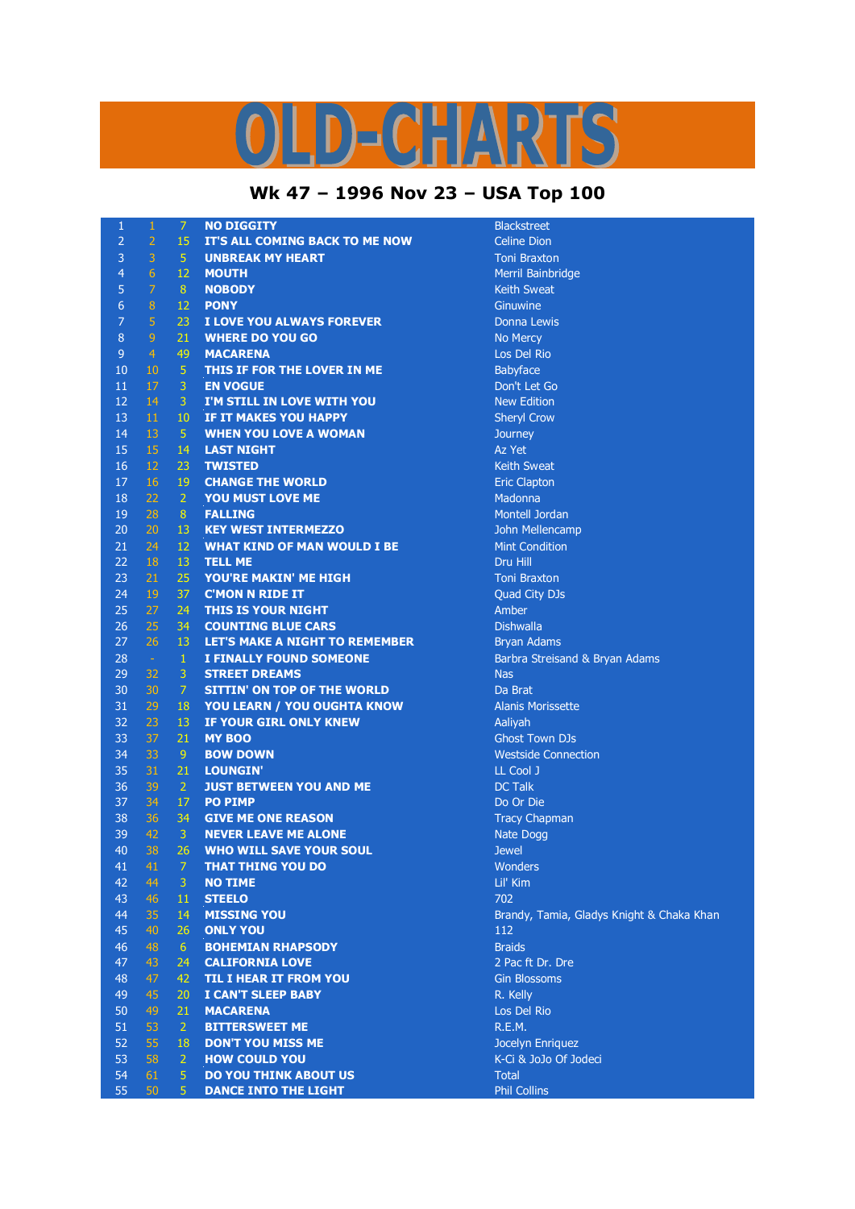## K  $D = C \cdot \frac{1}{2} \sqrt{N}$

## **Wk 47 – 1996 Nov 23 – USA Top 100**

| 1              | 1              | $\overline{7}$               | <b>NO DIGGITY</b>                                                   | <b>Blackstreet</b>                        |
|----------------|----------------|------------------------------|---------------------------------------------------------------------|-------------------------------------------|
| 2              | $\overline{2}$ | 15                           | IT'S ALL COMING BACK TO ME NOW                                      | <b>Celine Dion</b>                        |
| 3              | 3              | -5                           | <b>UNBREAK MY HEART</b>                                             | <b>Toni Braxton</b>                       |
| $\overline{4}$ | 6              | 12                           | <b>MOUTH</b>                                                        | Merril Bainbridge                         |
| 5              | $\overline{7}$ | 8 <sup>°</sup>               | <b>NOBODY</b>                                                       | <b>Keith Sweat</b>                        |
| 6              | $\, 8$         | 12                           | <b>PONY</b>                                                         | Ginuwine                                  |
| 7              | $\overline{5}$ | 23                           | I LOVE YOU ALWAYS FOREVER                                           | Donna Lewis                               |
| 8              | $\overline{9}$ | 21                           | <b>WHERE DO YOU GO</b>                                              | No Mercy                                  |
| 9              | $\overline{4}$ | 49                           | <b>MACARENA</b>                                                     | Los Del Rio                               |
| 10             | 10             | $\sqrt{5}$                   | <b>THIS IF FOR THE LOVER IN ME</b>                                  | Babyface                                  |
| 11             | 17             | 3                            | <b>EN VOGUE</b>                                                     | Don't Let Go                              |
| 12             | 14             | 3                            | I'M STILL IN LOVE WITH YOU                                          | <b>New Edition</b>                        |
| 13             | 11             | 10 <sup>°</sup>              | IF IT MAKES YOU HAPPY                                               | <b>Sheryl Crow</b>                        |
| 14             | 13             | $\sqrt{5}$                   | <b>WHEN YOU LOVE A WOMAN</b>                                        | Journey                                   |
| 15             | 15             | 14                           | <b>LAST NIGHT</b>                                                   | Az Yet                                    |
| 16             | 12             | 23                           | <b>TWISTED</b>                                                      | <b>Keith Sweat</b>                        |
| 17             | 16             | 19                           | <b>CHANGE THE WORLD</b>                                             | <b>Eric Clapton</b>                       |
| 18             | 22             | $\mathbf{2}$                 | YOU MUST LOVE ME                                                    | Madonna                                   |
| 19             | 28             | 8 <sup>°</sup>               | <b>FALLING</b>                                                      | Montell Jordan                            |
| 20             | 20             |                              |                                                                     |                                           |
| 21             | 24             | 13<br>12                     | <b>KEY WEST INTERMEZZO</b><br><b>WHAT KIND OF MAN WOULD I BE</b>    | John Mellencamp                           |
| 22             | 18             |                              |                                                                     | <b>Mint Condition</b><br>Dru Hill         |
|                |                | 13                           | <b>TELL ME</b>                                                      |                                           |
| 23             | 21             | 25                           | YOU'RE MAKIN' ME HIGH                                               | <b>Toni Braxton</b>                       |
| 24             | 19             | 37                           | <b>C'MON N RIDE IT</b>                                              | <b>Quad City DJs</b><br>Amber             |
| 25             | 27             | 24                           | <b>THIS IS YOUR NIGHT</b>                                           |                                           |
| 26             | 25             | 34                           | <b>COUNTING BLUE CARS</b>                                           | <b>Dishwalla</b>                          |
| 27             | 26             | 13                           | <b>LET'S MAKE A NIGHT TO REMEMBER</b>                               | <b>Bryan Adams</b>                        |
| 28<br>29       | $\sim$<br>32   | $\mathbf{1}$<br>$\mathbf{3}$ | <b>I FINALLY FOUND SOMEONE</b><br><b>STREET DREAMS</b>              | Barbra Streisand & Bryan Adams            |
| 30             | 30             | $\overline{7}$               |                                                                     | <b>Nas</b><br>Da Brat                     |
| 31             | 29             |                              | SITTIN' ON TOP OF THE WORLD                                         |                                           |
| 32             | 23             | 18<br>13                     | <b>YOU LEARN / YOU OUGHTA KNOW</b><br><b>IF YOUR GIRL ONLY KNEW</b> | <b>Alanis Morissette</b>                  |
| 33             | 37             | 21                           | <b>MY BOO</b>                                                       | Aaliyah<br><b>Ghost Town DJs</b>          |
|                |                |                              |                                                                     |                                           |
| 34<br>35       | 33<br>31       | 9<br>21                      | <b>BOW DOWN</b>                                                     | <b>Westside Connection</b>                |
| 36             | 39             | $\overline{2}$               | <b>LOUNGIN'</b>                                                     | LL Cool J<br><b>DC Talk</b>               |
| 37             | 34             |                              | <b>JUST BETWEEN YOU AND ME</b>                                      |                                           |
|                |                | 17                           | <b>PO PIMP</b>                                                      | Do Or Die                                 |
| 38<br>39       | 36<br>42       | 34                           | <b>GIVE ME ONE REASON</b>                                           | <b>Tracy Chapman</b>                      |
| 40             | 38             | $\mathbf{3}$<br>26           | <b>NEVER LEAVE ME ALONE</b>                                         | Nate Dogg                                 |
| 41             | 41             | $7 -$                        | <b>WHO WILL SAVE YOUR SOUL</b><br><b>THAT THING YOU DO</b>          | <b>Jewel</b><br>Wonders                   |
| 42             |                |                              |                                                                     |                                           |
| 43             | 44             | 3.                           | <b>NO TIME</b>                                                      | Lil' Kim<br>702                           |
|                | 46             | 11                           | <b>STEELO</b>                                                       |                                           |
| 44             | 35             | 14                           | <b>MISSING YOU</b>                                                  | Brandy, Tamia, Gladys Knight & Chaka Khan |
| 45             | 40             | 26                           | <b>ONLY YOU</b>                                                     | 112                                       |
| 46             | 48             | 6                            | <b>BOHEMIAN RHAPSODY</b>                                            | <b>Braids</b>                             |
| 47             | 43             | 24                           | <b>CALIFORNIA LOVE</b>                                              | 2 Pac ft Dr. Dre                          |
| 48             | 47             | 42                           | <b>TIL I HEAR IT FROM YOU</b>                                       | <b>Gin Blossoms</b>                       |
| 49             | 45             | 20                           | <b>I CAN'T SLEEP BABY</b>                                           | R. Kelly                                  |
| 50             | 49             | 21                           | <b>MACARENA</b>                                                     | Los Del Rio                               |
| 51             | 53             | $\overline{2}$               | <b>BITTERSWEET ME</b>                                               | R.E.M.                                    |
| 52             | 55             | 18                           | <b>DON'T YOU MISS ME</b>                                            | Jocelyn Enriquez                          |
| 53             | 58             | 2                            | <b>HOW COULD YOU</b>                                                | K-Ci & JoJo Of Jodeci                     |
| 54             | 61             | 5                            | <b>DO YOU THINK ABOUT US</b>                                        | <b>Total</b>                              |
| 55             | 50             | 5 <sup>1</sup>               | <b>DANCE INTO THE LIGHT</b>                                         | <b>Phil Collins</b>                       |